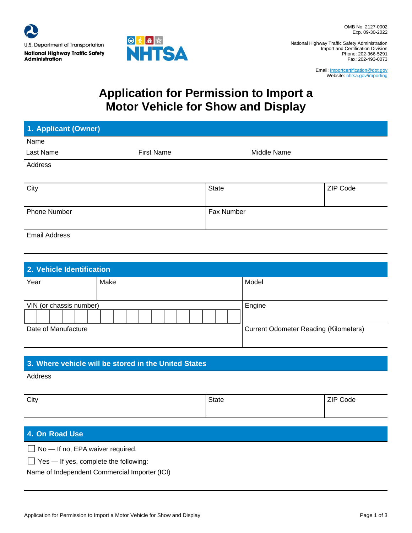

National Highway Traffic Safety Administration Import and Certification Division Phone: 202-366-5291 Fax: 202-493-0073

> Email: Importcertification@dot.gov Website: nhtsa.gov/importing

# **Application for Permission to Import a Motor Vehicle for Show and Display**

| 1. Applicant (Owner) |                   |             |                 |
|----------------------|-------------------|-------------|-----------------|
| Name                 |                   |             |                 |
| Last Name            | <b>First Name</b> | Middle Name |                 |
| Address              |                   |             |                 |
| City                 |                   | State       | <b>ZIP Code</b> |
| <b>Phone Number</b>  |                   | Fax Number  |                 |
| <b>Email Address</b> |                   |             |                 |

| 2. Vehicle Identification |      |                                              |  |  |  |
|---------------------------|------|----------------------------------------------|--|--|--|
| Year                      | Make | Model                                        |  |  |  |
| VIN (or chassis number)   |      | Engine                                       |  |  |  |
|                           |      |                                              |  |  |  |
| Date of Manufacture       |      | <b>Current Odometer Reading (Kilometers)</b> |  |  |  |

## **3. Where vehicle will be stored in the United States**

Address

| City | State | ZIP Code |
|------|-------|----------|
|      |       |          |

# **4. On Road Use**

 $\Box$  No - If no, EPA waiver required.

 $\Box$  Yes — If yes, complete the following:

Name of Independent Commercial Importer (ICI)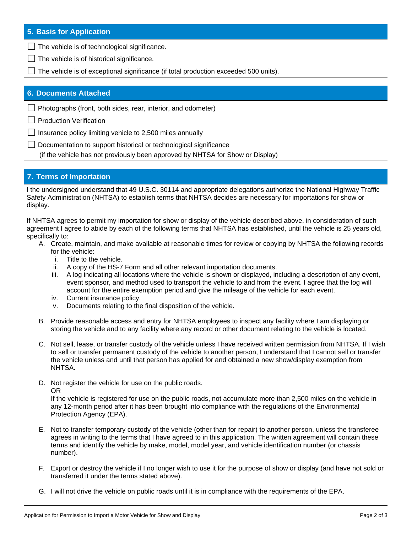### **5. Basis for Application**

 $\Box$  The vehicle is of technological significance.

- $\Box$  The vehicle is of historical significance.
- $\Box$  The vehicle is of exceptional significance (if total production exceeded 500 units).

#### **6. Documents Attached**

 $\Box$  Photographs (front, both sides, rear, interior, and odometer)

□ Production Verification

 $\Box$  Insurance policy limiting vehicle to 2,500 miles annually

□ Documentation to support historical or technological significance

(if the vehicle has not previously been approved by NHTSA for Show or Display)

### **7. Terms of Importation**

I the undersigned understand that 49 U.S.C. 30114 and appropriate delegations authorize the National Highway Traffic Safety Administration (NHTSA) to establish terms that NHTSA decides are necessary for importations for show or display.

If NHTSA agrees to permit my importation for show or display of the vehicle described above, in consideration of such agreement I agree to abide by each of the following terms that NHTSA has established, until the vehicle is 25 years old, specifically to:

- A. Create, maintain, and make available at reasonable times for review or copying by NHTSA the following records for the vehicle:
	- i. Title to the vehicle.
	- ii. A copy of the HS-7 Form and all other relevant importation documents.
	- iii. A log indicating all locations where the vehicle is shown or displayed, including a description of any event, event sponsor, and method used to transport the vehicle to and from the event. I agree that the log will account for the entire exemption period and give the mileage of the vehicle for each event.
	- iv. Current insurance policy.
	- v. Documents relating to the final disposition of the vehicle.
- B. Provide reasonable access and entry for NHTSA employees to inspect any facility where I am displaying or storing the vehicle and to any facility where any record or other document relating to the vehicle is located.
- C. Not sell, lease, or transfer custody of the vehicle unless I have received written permission from NHTSA. If I wish to sell or transfer permanent custody of the vehicle to another person, I understand that I cannot sell or transfer the vehicle unless and until that person has applied for and obtained a new show/display exemption from NHTSA.
- D. Not register the vehicle for use on the public roads. OR

If the vehicle is registered for use on the public roads, not accumulate more than 2,500 miles on the vehicle in any 12-month period after it has been brought into compliance with the regulations of the Environmental Protection Agency (EPA).

- E. Not to transfer temporary custody of the vehicle (other than for repair) to another person, unless the transferee agrees in writing to the terms that I have agreed to in this application. The written agreement will contain these terms and identify the vehicle by make, model, model year, and vehicle identification number (or chassis number).
- F. Export or destroy the vehicle if I no longer wish to use it for the purpose of show or display (and have not sold or transferred it under the terms stated above).
- G. I will not drive the vehicle on public roads until it is in compliance with the requirements of the EPA.